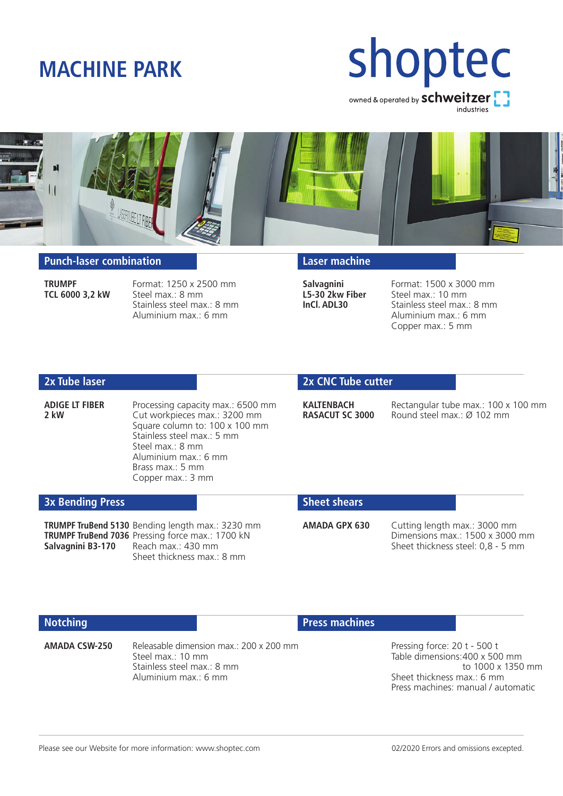### **MACHINE PARK**

# shoptec owned & operated by **schweitzer** industries

### **Punch-laser combination**

**TRUMPF** Format: 1250 x 2500 mm<br>**TCL 6000 3.2 kW** Steel max: 8 mm Steel max.: 8 mm Stainless steel max.: 8 mm Aluminium max.: 6 mm

### **Laser machine**

**Salvagnini** Format: 1500 x 3000 mm<br>**L5-30 2kw Fiber** Steel max.: 10 mm **L5-30 2kw Fiber** Steel max.: 10 mm<br>**InCl. ADL30** Stainless steel max. Stainless steel max.: 8 mm Aluminium max.: 6 mm Copper max.: 5 mm

### **2x Tube laser**

**ADIGE LT FIBER** Processing capacity max.: 6500 mm<br>**2 kW** Cut worknieces max: 3200 mm Cut workpieces max.: 3200 mm Square column to: 100 x 100 mm Stainless steel max.: 5 mm Steel max.: 8 mm Aluminium max.: 6 mm Brass max.: 5 mm Copper max.: 3 mm

### **2x CNC Tube cutter**

**KALTENBACH** Rectangular tube max.: 100 x 100 mm<br>**RASACUT SC 3000** Round steel max : Ø 102 mm **RASACUT SC 3000** Round steel max.: Ø 102 mm

#### **3x Bending Press**

**TRUMPF TruBend 5130** Bending length max.: 3230 mm **TRUMPF TruBend 7036** Pressing force max.: 1700 kN<br>**Salvagnini B3-170** Reach max.: 430 mm Reach max.: 430 mm Sheet thickness max.: 8 mm

#### **Sheet shears**

**AMADA GPX 630** Cutting length max.: 3000 mm Dimensions max.: 1500 x 3000 mm Sheet thickness steel: 0,8 - 5 mm

### **Notching**

**AMADA CSW-250** Releasable dimension max.: 200 x 200 mm Steel max.: 10 mm Stainless steel max.: 8 mm Aluminium max.: 6 mm

### **Press machines**

Pressing force: 20 t - 500 t Table dimensions:400 x 500 mm to 1000 x 1350 mm Sheet thickness max.: 6 mm Press machines: manual / automatic